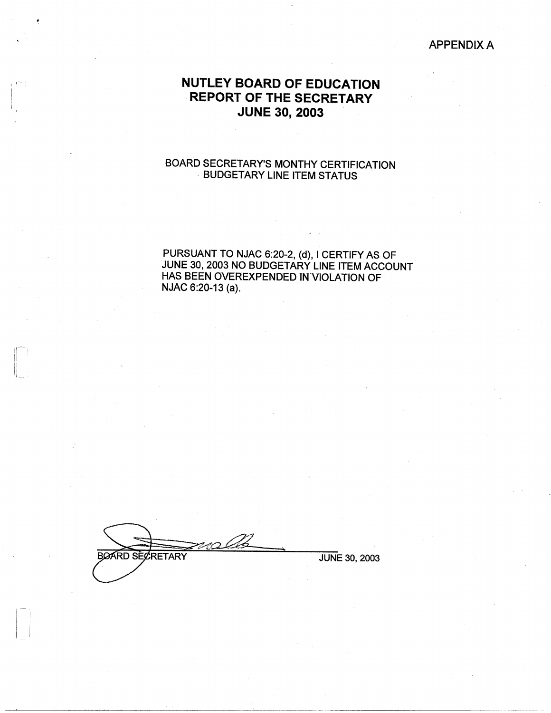### APPENDIX A

# **NUTLEY BOARD OF EDUCATION REPORT OF THE SECRETARY JUNE 30, 2003**

I r-

1

## BOARD SECRETARY'S MONTHY CERTIFICATION , BUDGETARY LINE ITEM STATUS

PURSUANT TO NJAC 6:20-2, (d), I CERTIFY AS OF JUNE 30, 2003 NO BUDGETARY LINE ITEM ACCOUNT HAS BEEN OVEREXPENDED IN VIOLATION OF NJAC 6:20-13 (a).

**BOARD SECRETARY** JUNE 30, 2003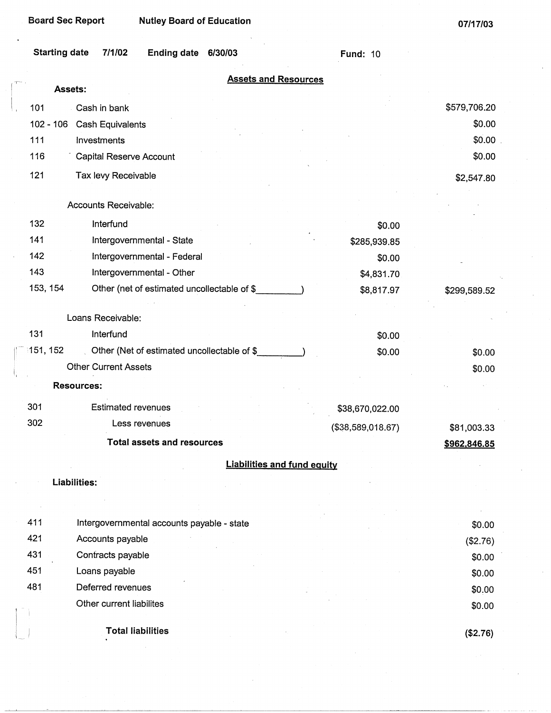| <b>Starting date</b>                                  | 7/1/02<br><b>Ending date</b><br>6/30/03     | <b>Fund: 10</b>                    |                  |
|-------------------------------------------------------|---------------------------------------------|------------------------------------|------------------|
| Assets:                                               |                                             | <b>Assets and Resources</b>        |                  |
|                                                       |                                             |                                    |                  |
| 101<br>Cash in bank                                   |                                             |                                    | \$579,706.20     |
| $102 - 106$<br>Cash Equivalents<br>111<br>Investments |                                             |                                    | \$0.00<br>\$0.00 |
| 116                                                   | <b>Capital Reserve Account</b>              |                                    | \$0.00           |
|                                                       |                                             |                                    |                  |
| 121                                                   | Tax levy Receivable                         |                                    | \$2,547.80       |
| Accounts Receivable:                                  |                                             |                                    |                  |
| 132<br>Interfund                                      |                                             | \$0.00                             |                  |
| 141                                                   | Intergovernmental - State                   | \$285,939.85                       |                  |
| 142                                                   | Intergovernmental - Federal                 | \$0.00                             |                  |
| 143                                                   | Intergovernmental - Other                   | \$4,831.70                         |                  |
| 153, 154                                              | Other (net of estimated uncollectable of \$ | \$8,817.97                         | \$299,589.52     |
|                                                       |                                             |                                    |                  |
| Loans Receivable:                                     |                                             |                                    |                  |
| 131<br>Interfund                                      |                                             | \$0.00                             |                  |
| 151, 152                                              | Other (Net of estimated uncollectable of \$ | \$0.00                             | \$0.00           |
| <b>Other Current Assets</b>                           |                                             |                                    | \$0.00           |
| <b>Resources:</b>                                     |                                             |                                    |                  |
| 301                                                   | <b>Estimated revenues</b>                   | \$38,670,022.00                    |                  |
| 302                                                   | Less revenues                               | (\$38,589,018.67)                  | \$81,003.33      |
|                                                       | <b>Total assets and resources</b>           |                                    | \$962,846.85     |
|                                                       |                                             | <b>Liabilities and fund equity</b> |                  |
| Liabilities:                                          |                                             |                                    |                  |
|                                                       |                                             |                                    |                  |
|                                                       |                                             |                                    |                  |
| 411                                                   | Intergovernmental accounts payable - state  |                                    | \$0.00           |
| 421<br>Accounts payable                               |                                             |                                    | (\$2.76)         |
| 431<br>Contracts payable                              |                                             |                                    | \$0.00           |
| 451<br>Loans payable                                  |                                             |                                    | \$0.00           |
| 481<br>Deferred revenues                              |                                             |                                    | \$0.00           |
|                                                       | Other current liabilites                    |                                    | \$0.00           |
|                                                       | <b>Total liabilities</b>                    |                                    | (\$2.76)         |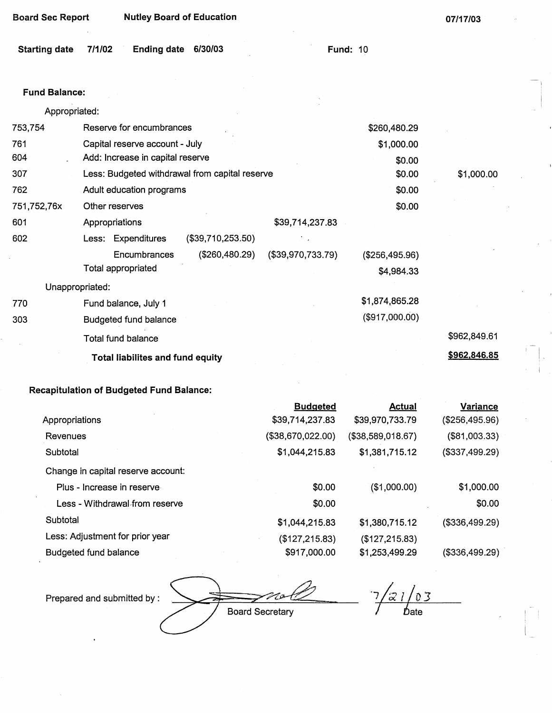**07/17/03** 

1-

| <b>Starting date</b> | 7/1/02 | <b>Ending date</b> | 6/30/03 |
|----------------------|--------|--------------------|---------|
|----------------------|--------|--------------------|---------|

**Fund: 10** 

| Fund Balance: |  |
|---------------|--|
|---------------|--|

| Appropriated: |                 |                                  |                                                |                   |                |              |
|---------------|-----------------|----------------------------------|------------------------------------------------|-------------------|----------------|--------------|
| 753,754       |                 | Reserve for encumbrances         |                                                |                   | \$260,480.29   |              |
| 761           |                 | Capital reserve account - July   |                                                |                   | \$1,000.00     |              |
| 604           |                 | Add: Increase in capital reserve |                                                |                   | \$0.00         |              |
| 307           |                 |                                  | Less: Budgeted withdrawal from capital reserve |                   | \$0.00         | \$1,000.00   |
| 762           |                 | Adult education programs         |                                                |                   | \$0.00         |              |
| 751,752,76x   |                 | Other reserves                   |                                                |                   | \$0.00         |              |
| 601           |                 | Appropriations                   |                                                | \$39,714,237.83   |                |              |
| 602           |                 | Less: Expenditures               | (\$39,710,253.50)                              |                   |                |              |
|               |                 | Encumbrances                     | (\$260,480.29)                                 | (\$39,970,733.79) | (\$256,495.96) |              |
|               |                 | Total appropriated               |                                                |                   | \$4,984.33     |              |
|               | Unappropriated: |                                  |                                                |                   |                |              |
| 770           |                 | Fund balance, July 1             |                                                |                   | \$1,874,865.28 |              |
| 303           |                 | <b>Budgeted fund balance</b>     |                                                |                   | (\$917,000.00) |              |
|               |                 | <b>Total fund balance</b>        |                                                |                   |                | \$962,849.61 |
|               |                 | Total liabilites and fund equity |                                                |                   |                | \$962,846.85 |
|               |                 |                                  |                                                |                   |                |              |

## **Recapitulation of Budgeted Fund Balance:**

|                                    | <b>Budgeted</b>   | <b>Actual</b>     | Variance       |
|------------------------------------|-------------------|-------------------|----------------|
| Appropriations                     | \$39,714,237.83   | \$39,970,733.79   | (\$256,495.96) |
| Revenues                           | (\$38,670,022.00) | (\$38,589,018.67) | (\$81,003.33)  |
| Subtotal                           | \$1,044,215.83    | \$1,381,715.12    | (\$337,499.29) |
| Change in capital reserve account: |                   |                   |                |
| Plus - Increase in reserve         | \$0.00            | (\$1,000.00)      | \$1,000.00     |
| Less - Withdrawal from reserve     | \$0.00            |                   | \$0.00         |
| Subtotal                           | \$1,044,215.83    | \$1,380,715.12    | (\$336,499.29) |
| Less: Adjustment for prior year    | (\$127,215.83)    | (\$127, 215.83)   |                |
| <b>Budgeted fund balance</b>       | \$917,000.00      | \$1,253,499.29    | (\$336,499.29) |

 $7/21/03$ Prepared and submitted by : **Board Secretary** / *D*ate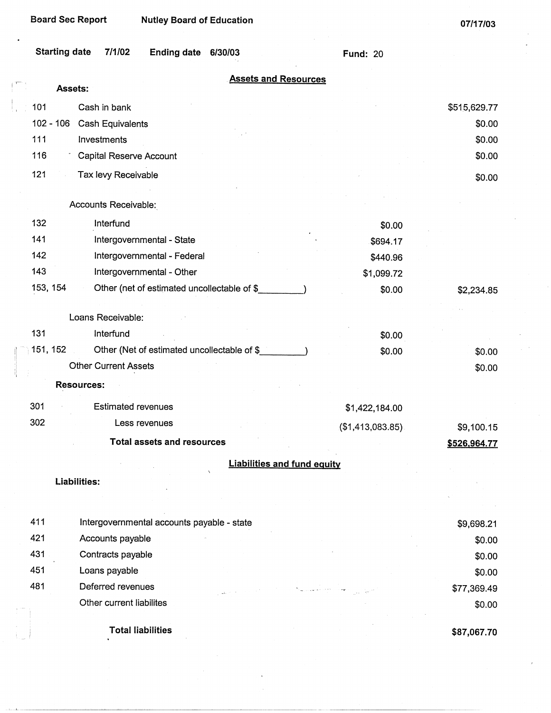$\int_0^{\pi}$ 

**07/17/03** 

| <b>Starting date</b><br>7/1/02<br><b>Ending date</b><br>6/30/03 | <b>Fund: 20</b>  |                     |
|-----------------------------------------------------------------|------------------|---------------------|
| <b>Assets and Resources</b><br>Assets:                          |                  |                     |
| 101                                                             |                  |                     |
| Cash in bank<br>$102 - 106$                                     |                  | \$515,629.77        |
| <b>Cash Equivalents</b><br>111<br>Investments                   |                  | \$0.00<br>\$0.00    |
| 116                                                             |                  | \$0.00              |
| Capital Reserve Account                                         |                  |                     |
| 121<br>Tax levy Receivable                                      |                  | \$0.00              |
| Accounts Receivable:                                            |                  |                     |
| 132<br>Interfund                                                | \$0.00           |                     |
| 141<br>Intergovernmental - State                                | \$694.17         |                     |
| 142<br>Intergovernmental - Federal                              | \$440.96         |                     |
| 143<br>Intergovernmental - Other                                | \$1,099.72       |                     |
| 153, 154<br>Other (net of estimated uncollectable of \$         | \$0.00           | \$2,234.85          |
| Loans Receivable:                                               |                  |                     |
| 131<br>Interfund                                                | \$0.00           |                     |
| 151, 152<br>Other (Net of estimated uncollectable of \$         | \$0.00           | \$0.00              |
| <b>Other Current Assets</b>                                     |                  | \$0.00              |
| <b>Resources:</b>                                               |                  |                     |
| 301<br><b>Estimated revenues</b>                                | \$1,422,184.00   |                     |
| 302<br>Less revenues                                            | (\$1,413,083.85) | \$9,100.15          |
| <b>Total assets and resources</b>                               |                  | <u>\$526,964.77</u> |
| <b>Liabilities and fund equity</b>                              |                  |                     |
| <b>Liabilities:</b>                                             |                  |                     |
|                                                                 |                  |                     |
| 411<br>Intergovernmental accounts payable - state               |                  | \$9,698.21          |
| 421<br>Accounts payable                                         |                  | \$0.00              |
| 431<br>Contracts payable                                        |                  | \$0.00              |
| 451<br>Loans payable                                            |                  | \$0.00              |
| 481<br>Deferred revenues                                        |                  | \$77,369.49         |
| Other current liabilites                                        |                  | \$0.00              |
| <b>Total liabilities</b>                                        |                  | \$87,067.70         |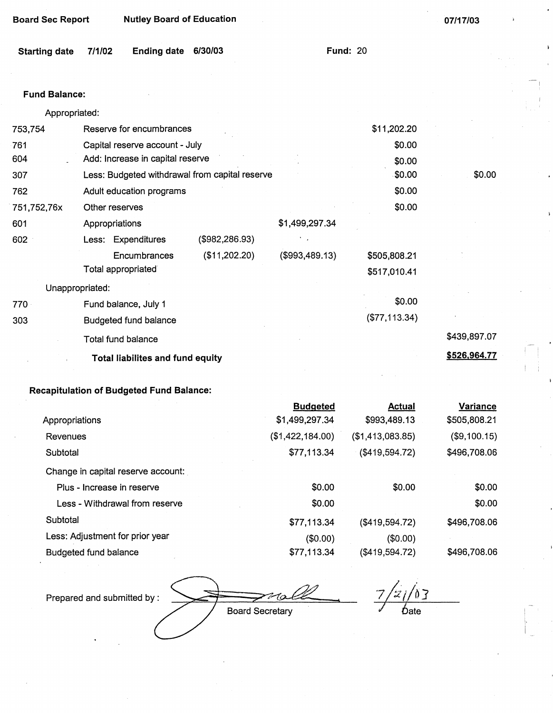| <b>Board Sec Report</b> | <b>Nutley Board of Education</b>               |                |                 |               | 07/17/03     |
|-------------------------|------------------------------------------------|----------------|-----------------|---------------|--------------|
| <b>Starting date</b>    | 7/1/02<br><b>Ending date</b>                   | 6/30/03        | <b>Fund: 20</b> |               |              |
|                         |                                                |                |                 |               |              |
| <b>Fund Balance:</b>    |                                                |                |                 |               |              |
| Appropriated:           |                                                |                |                 |               |              |
| 753,754                 | Reserve for encumbrances                       |                |                 | \$11,202.20   |              |
| 761                     | Capital reserve account - July                 |                |                 | \$0.00        |              |
| 604                     | Add: Increase in capital reserve               |                |                 | \$0.00        |              |
| 307                     | Less: Budgeted withdrawal from capital reserve |                |                 | \$0.00        | \$0.00       |
| 762                     | Adult education programs                       |                |                 | \$0.00        |              |
| 751,752,76x             | Other reserves                                 |                |                 | \$0.00        |              |
| 601                     | Appropriations                                 |                | \$1,499,297.34  |               |              |
| 602                     | Less: Expenditures                             | (\$982,286.93) |                 |               |              |
|                         | Encumbrances                                   | (\$11,202.20)  | (\$993,489.13)  | \$505,808.21  |              |
|                         | Total appropriated                             |                |                 | \$517,010.41  |              |
| Unappropriated:         |                                                |                |                 |               |              |
| 770                     | Fund balance, July 1                           |                |                 | \$0.00        |              |
| 303                     | <b>Budgeted fund balance</b>                   |                |                 | (\$77,113.34) |              |
|                         | <b>Total fund balance</b>                      |                |                 |               | \$439,897.07 |
|                         | <b>Total liabilites and fund equity</b>        |                |                 |               | \$526,964.77 |

## **Recapitulation of Budgeted Fund Balance:**

|                                    | <b>Budgeted</b>  | <b>Actual</b>    | <b>Variance</b> |
|------------------------------------|------------------|------------------|-----------------|
| Appropriations                     | \$1,499,297.34   | \$993,489.13     | \$505,808.21    |
| Revenues                           | (\$1,422,184.00) | (\$1,413,083.85) | (\$9,100.15)    |
| Subtotal                           | \$77,113.34      | (\$419,594.72)   | \$496,708.06    |
| Change in capital reserve account: |                  |                  |                 |
| Plus - Increase in reserve         | \$0.00           | \$0.00           | \$0.00          |
| Less - Withdrawal from reserve     | \$0.00           |                  | \$0.00          |
| Subtotal                           | \$77,113.34      | (\$419,594.72)   | \$496,708.06    |
| Less: Adjustment for prior year    | (\$0.00)         | (\$0.00)         |                 |
| Budgeted fund balance              | \$77,113.34      | (\$419,594.72)   | \$496,708.06    |

Prepared and submitted by:

**Board Secretary** 

 $\frac{21/03}{2}$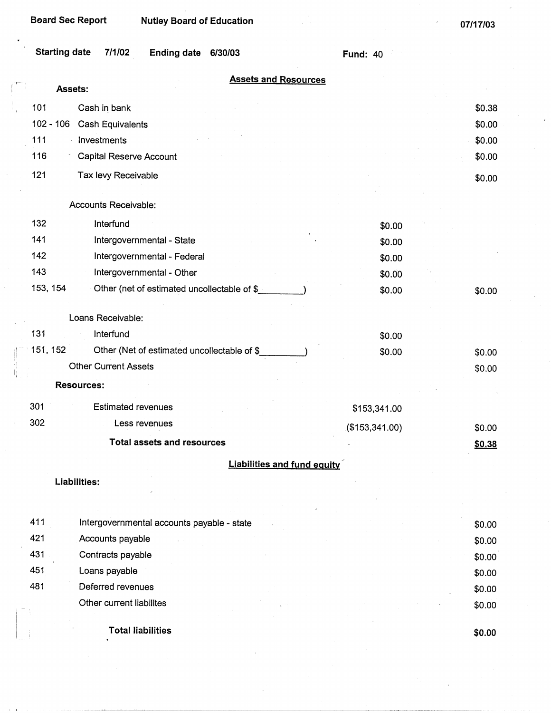| <b>Board Sec Report</b>                           | <b>Nutley Board of Education</b>            |                 | 07/17/03 |
|---------------------------------------------------|---------------------------------------------|-----------------|----------|
| <b>Starting date</b><br>7/1/02                    | Ending date 6/30/03                         | <b>Fund: 40</b> |          |
| Assets:                                           | <b>Assets and Resources</b>                 |                 |          |
| 101<br>Cash in bank                               |                                             |                 | \$0.38   |
| 102 - 106<br><b>Cash Equivalents</b>              |                                             |                 | \$0.00   |
| 111<br>· Investments                              |                                             |                 | \$0.00   |
| 116<br><b>Capital Reserve Account</b>             |                                             |                 | \$0.00   |
| 121<br>Tax levy Receivable                        |                                             |                 |          |
|                                                   |                                             |                 | \$0.00   |
| Accounts Receivable:                              |                                             |                 |          |
| 132<br>Interfund                                  |                                             | \$0.00          |          |
| 141<br>Intergovernmental - State                  |                                             | \$0.00          |          |
| 142<br>Intergovernmental - Federal                |                                             | \$0.00          |          |
| 143<br>Intergovernmental - Other                  |                                             | \$0.00          |          |
| 153, 154                                          | Other (net of estimated uncollectable of \$ | \$0.00          | \$0.00   |
|                                                   |                                             |                 |          |
| Loans Receivable:                                 |                                             |                 |          |
| 131<br>Interfund                                  |                                             | \$0.00          |          |
| 151, 152                                          | Other (Net of estimated uncollectable of \$ | \$0.00          | \$0.00   |
| <b>Other Current Assets</b>                       |                                             |                 | \$0.00   |
| <b>Resources:</b>                                 |                                             |                 |          |
| 301<br><b>Estimated revenues</b>                  |                                             | \$153,341.00    |          |
| 302<br>Less revenues                              |                                             | (\$153,341.00)  | \$0.00   |
| <b>Total assets and resources</b>                 |                                             |                 | \$0.38   |
|                                                   | <b>Liabilities and fund equity</b>          |                 |          |
| Liabilities:                                      |                                             |                 |          |
|                                                   |                                             |                 |          |
|                                                   |                                             |                 |          |
| 411<br>Intergovernmental accounts payable - state |                                             |                 | \$0.00   |
| 421<br>Accounts payable                           |                                             |                 | \$0.00   |
| 431<br>Contracts payable                          |                                             |                 | \$0.00   |
| 451<br>Loans payable                              |                                             |                 | \$0.00   |
| 481<br>Deferred revenues                          |                                             |                 | \$0.00   |
| Other current liabilites                          |                                             |                 | \$0.00   |

I' I

J)

**Total liabilities** 

**\$0.00**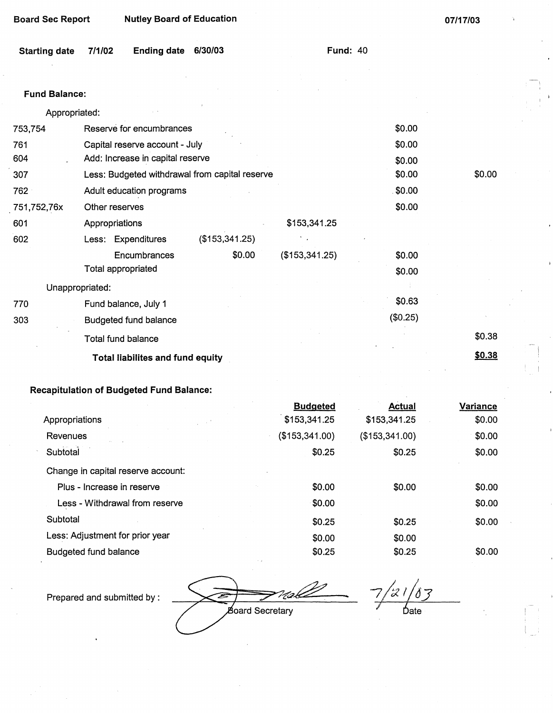**07/17/03** 

| <b>Starting date</b> | 7/1/02 | Ending date 6/30/03 |  |  |
|----------------------|--------|---------------------|--|--|
|----------------------|--------|---------------------|--|--|

**Fund:** 40

#### **Fund Balance:**

| Appropriated:   |                                                          |                |                |          |        |
|-----------------|----------------------------------------------------------|----------------|----------------|----------|--------|
| 753,754         | Reserve for encumbrances                                 |                |                | \$0.00   |        |
| 761             | Capital reserve account - July                           |                |                | \$0.00   |        |
| 604             | Add: Increase in capital reserve                         |                |                | \$0.00   |        |
| 307             | \$0.00<br>Less: Budgeted withdrawal from capital reserve |                |                |          | \$0.00 |
| 762             | 50.00<br>Adult education programs                        |                |                |          |        |
| 751,752,76x     | Other reserves                                           |                |                | \$0.00   |        |
| 601             | Appropriations                                           |                | \$153,341.25   |          |        |
| 602             | Less: Expenditures                                       | (\$153,341.25) |                |          |        |
|                 | Encumbrances                                             | \$0.00         | (\$153,341.25) | \$0.00   |        |
|                 | Total appropriated                                       |                |                | \$0.00   |        |
| Unappropriated: |                                                          |                |                |          |        |
| 770             | Fund balance, July 1                                     |                |                | \$0.63   |        |
| 303             | <b>Budgeted fund balance</b>                             |                |                | (\$0.25) |        |
|                 | Total fund balance                                       |                |                |          | \$0.38 |
|                 | <b>Total liabilites and fund equity</b>                  |                |                |          | \$0.38 |

# **Recapitulation of Budgeted Fund Balance:**

|                                    | <b>Budgeted</b> | <b>Actual</b>  | Variance |
|------------------------------------|-----------------|----------------|----------|
| Appropriations                     | \$153,341.25    | \$153,341.25   | \$0.00   |
| Revenues                           | (\$153,341.00)  | (\$153,341.00) | \$0.00   |
| Subtotal                           | \$0.25          | \$0.25         | \$0.00   |
| Change in capital reserve account: |                 |                |          |
| Plus - Increase in reserve         | \$0.00          | \$0.00         | \$0.00   |
| Less - Withdrawal from reserve     | \$0.00          |                | \$0.00   |
| Subtotal                           | \$0.25          | \$0.25         | \$0.00   |
| Less: Adjustment for prior year    | \$0.00          | \$0.00         |          |
| <b>Budgeted fund balance</b>       | \$0.25          | \$0.25         | \$0.00   |

Prepared and submitted by :

*;~,&* - B

 $7/21/83$ *1* 6ate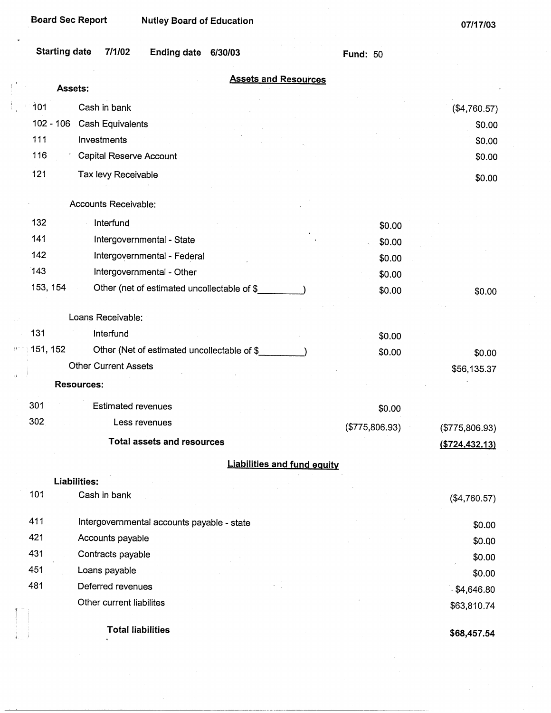| <b>Assets:</b>                                           | <b>Assets and Resources</b>        |
|----------------------------------------------------------|------------------------------------|
| 101<br>Cash in bank                                      | (\$4,760.57)                       |
| $102 - 106$<br><b>Cash Equivalents</b>                   | \$0.00                             |
| 111<br>Investments                                       | \$0.00                             |
| 116<br>Capital Reserve Account                           | \$0.00                             |
| 121<br>Tax levy Receivable                               | \$0.00                             |
|                                                          |                                    |
| Accounts Receivable:                                     |                                    |
| 132<br>Interfund                                         | \$0.00                             |
| 141<br>Intergovernmental - State                         | \$0.00                             |
| 142<br>Intergovernmental - Federal                       | \$0.00                             |
| 143<br>Intergovernmental - Other                         | \$0.00                             |
| 153, 154<br>Other (net of estimated uncollectable of \$  | \$0.00<br>\$0.00                   |
| Loans Receivable:                                        |                                    |
| 131<br>Interfund                                         |                                    |
| 151, 152<br>Other (Net of estimated uncollectable of \$_ | \$0.00                             |
| <b>Other Current Assets</b>                              | \$0.00<br>\$0.00                   |
| <b>Resources:</b>                                        | \$56,135.37                        |
|                                                          |                                    |
| 301<br><b>Estimated revenues</b>                         | \$0.00                             |
| 302<br>Less revenues                                     | (\$775,806.93)<br>(\$775,806.93)   |
| <b>Total assets and resources</b>                        | ( \$724, 432.13)                   |
|                                                          | <b>Liabilities and fund equity</b> |
| <b>Liabilities:</b>                                      |                                    |
| 101<br>Cash in bank                                      | (\$4,760.57)                       |
| 411<br>Intergovernmental accounts payable - state        | \$0.00                             |
| 421<br>Accounts payable                                  | \$0.00                             |
| 431<br>Contracts payable                                 | \$0.00                             |
| 451<br>Loans payable                                     | \$0.00                             |
| 481<br>Deferred revenues                                 | $-$ \$4,646.80                     |
| Other current liabilites                                 | \$63,810.74                        |
| <b>Total liabilities</b>                                 |                                    |
|                                                          | \$68,457.54                        |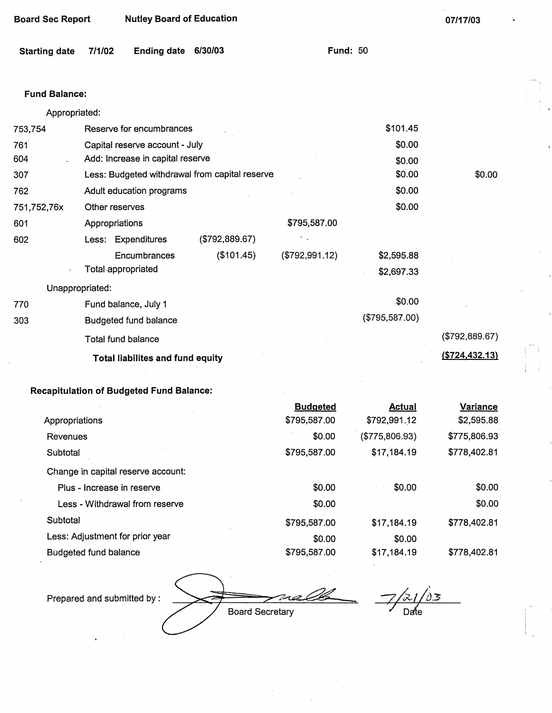| 07/17/03 |
|----------|
|          |

**Fund: 50** 

| Starting date 7/1/02 |  | Ending date 6/30/03 |  |  |  |
|----------------------|--|---------------------|--|--|--|
|----------------------|--|---------------------|--|--|--|

### **Fund Balance:**

| Appropriated: |                                         |              |                                                |                |                |                |
|---------------|-----------------------------------------|--------------|------------------------------------------------|----------------|----------------|----------------|
| 753,754       | Reserve for encumbrances                |              |                                                |                | \$101.45       |                |
| 761           | Capital reserve account - July          |              |                                                |                | \$0.00         |                |
| 604           | Add: Increase in capital reserve        |              |                                                |                | \$0.00         |                |
| 307           |                                         |              | Less: Budgeted withdrawal from capital reserve |                | \$0.00         | \$0.00         |
| 762           | Adult education programs                |              |                                                |                | \$0.00         |                |
| 751,752,76x   | Other reserves                          |              |                                                |                | \$0.00         |                |
| 601           | Appropriations                          |              |                                                | \$795,587.00   |                |                |
| 602           | Less: Expenditures                      |              | (\$792,889.67)                                 |                |                |                |
|               |                                         | Encumbrances | (\$101.45)                                     | (\$792,991.12) | \$2,595.88     |                |
|               | Total appropriated                      |              |                                                |                | \$2,697.33     |                |
|               | Unappropriated:                         |              |                                                |                |                |                |
| 770           | Fund balance, July 1                    |              |                                                |                | \$0.00         |                |
| 303           | <b>Budgeted fund balance</b>            |              |                                                |                | (\$795,587.00) |                |
|               | <b>Total fund balance</b>               |              |                                                |                |                | (\$792,889.67) |
|               | <b>Total liabilites and fund equity</b> |              |                                                |                |                | (\$724,432.13) |
|               |                                         |              |                                                |                |                |                |

## **Recapitulation of Budgeted Fund Balance:**

|                                    | <b>Budgeted</b> | <b>Actual</b>  | <b>Variance</b> |
|------------------------------------|-----------------|----------------|-----------------|
| Appropriations                     | \$795,587.00    | \$792,991.12   | \$2,595.88      |
| Revenues                           | \$0.00          | (\$775,806.93) | \$775,806.93    |
| Subtotal                           | \$795,587.00    | \$17,184.19    | \$778,402.81    |
| Change in capital reserve account: |                 |                |                 |
| Plus - Increase in reserve         | \$0.00          | \$0.00         | \$0.00          |
| Less - Withdrawal from reserve     | \$0.00          |                | \$0.00          |
| Subtotal                           | \$795,587.00    | \$17,184.19    | \$778,402.81    |
| Less: Adjustment for prior year    | \$0.00          | \$0.00         |                 |
| Budgeted fund balance              | \$795,587.00    | \$17,184.19    | \$778,402.81    |

Prepared and submitted by :

na **Board Secretary** 

 $\frac{\partial s}{\partial x}$ Date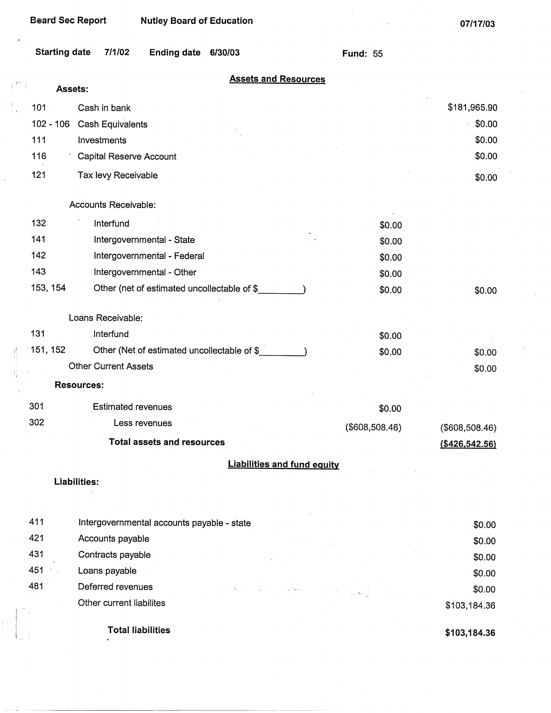| <b>Beard Sec Report</b> |                                | <b>Nutley Board of Education</b>            |         |                                    |                 | 07/17/03          |
|-------------------------|--------------------------------|---------------------------------------------|---------|------------------------------------|-----------------|-------------------|
| <b>Starting date</b>    | 7/1/02                         | <b>Ending date</b>                          | 6/30/03 |                                    | <b>Fund: 55</b> |                   |
| Assets:                 |                                |                                             |         | <b>Assets and Resources</b>        |                 |                   |
| 101                     | Cash in bank                   |                                             |         |                                    |                 | \$181,965.90      |
| $102 - 106$             | Cash Equivalents               |                                             |         |                                    |                 | \$0.00            |
| 111                     | Investments                    |                                             |         |                                    |                 | \$0.00            |
| 116                     | <b>Capital Reserve Account</b> |                                             |         |                                    |                 | \$0.00            |
| 121                     | Tax levy Receivable            |                                             |         |                                    |                 |                   |
|                         |                                |                                             |         |                                    |                 | \$0.00            |
|                         | Accounts Receivable:           |                                             |         |                                    |                 |                   |
| 132                     | Interfund                      |                                             |         |                                    | \$0.00          |                   |
| 141                     |                                | Intergovernmental - State                   |         |                                    | \$0.00          |                   |
| 142                     |                                | Intergovernmental - Federal                 |         |                                    | \$0.00          |                   |
| 143                     |                                | Intergovernmental - Other                   |         |                                    | \$0.00          |                   |
| 153, 154                |                                | Other (net of estimated uncollectable of \$ |         |                                    | \$0.00          | \$0.00            |
|                         |                                |                                             |         |                                    |                 |                   |
|                         | Loans Receivable:              |                                             |         |                                    |                 |                   |
| 131                     | Interfund                      |                                             |         |                                    | \$0.00          |                   |
| ∶151, 152               |                                | Other (Net of estimated uncollectable of \$ |         |                                    | \$0.00          | \$0.00            |
|                         | <b>Other Current Assets</b>    |                                             |         |                                    |                 | \$0.00            |
| <b>Resources:</b>       |                                |                                             |         |                                    |                 |                   |
| 301                     | <b>Estimated revenues</b>      |                                             |         |                                    | \$0.00          |                   |
| 302                     |                                | Less revenues                               |         |                                    | (\$608,508.46)  | (\$608,508.46)    |
|                         |                                | <b>Total assets and resources</b>           |         |                                    |                 | $($ \$426,542.56) |
|                         |                                |                                             |         | <b>Liabilities and fund equity</b> |                 |                   |
| Liabilities:            |                                |                                             |         |                                    |                 |                   |
|                         |                                |                                             |         |                                    |                 |                   |
|                         |                                |                                             |         |                                    |                 |                   |
| 411                     |                                | Intergovernmental accounts payable - state  |         |                                    |                 | \$0.00            |
| 421                     | Accounts payable               |                                             |         |                                    |                 | \$0.00            |
| 431                     | Contracts payable              |                                             |         |                                    |                 | \$0.00            |
| 451                     | Loans payable                  |                                             |         |                                    |                 | \$0.00            |
| 481                     | Deferred revenues              |                                             |         |                                    |                 | \$0.00            |
|                         | Other current liabilites       |                                             |         |                                    |                 | \$103,184.36      |
|                         |                                |                                             |         |                                    |                 |                   |

**Total liabilities** 

 $\mathbb{R}^{\mathbb{Z}}$ 

**\$103,184.36**